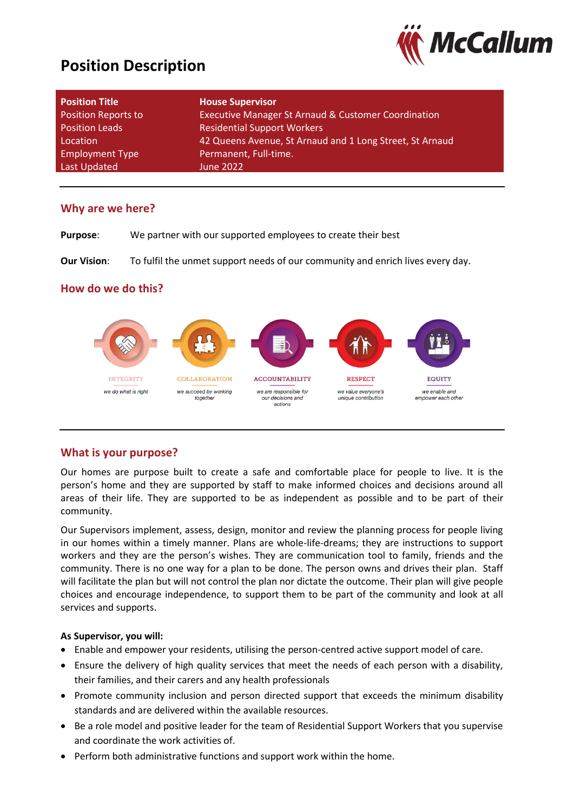# **Position Description**



| <b>Position Title</b>      | <b>House Supervisor</b>                                  |
|----------------------------|----------------------------------------------------------|
| <b>Position Reports to</b> | Executive Manager St Arnaud & Customer Coordination      |
| <b>Position Leads</b>      | <b>Residential Support Workers</b>                       |
| Location                   | 42 Queens Avenue, St Arnaud and 1 Long Street, St Arnaud |
| <b>Employment Type</b>     | Permanent, Full-time.                                    |
| Last Updated               | June 2022                                                |

### **Why are we here?**

**Purpose**: We partner with our supported employees to create their best

**Our Vision**: To fulfil the unmet support needs of our community and enrich lives every day.

### **How do we do this?**



### **What is your purpose?**

Our homes are purpose built to create a safe and comfortable place for people to live. It is the person's home and they are supported by staff to make informed choices and decisions around all areas of their life. They are supported to be as independent as possible and to be part of their community.

Our Supervisors implement, assess, design, monitor and review the planning process for people living in our homes within a timely manner. Plans are whole-life-dreams; they are instructions to support workers and they are the person's wishes. They are communication tool to family, friends and the community. There is no one way for a plan to be done. The person owns and drives their plan. Staff will facilitate the plan but will not control the plan nor dictate the outcome. Their plan will give people choices and encourage independence, to support them to be part of the community and look at all services and supports.

### **As Supervisor, you will:**

- Enable and empower your residents, utilising the person-centred active support model of care.
- Ensure the delivery of high quality services that meet the needs of each person with a disability, their families, and their carers and any health professionals
- Promote community inclusion and person directed support that exceeds the minimum disability standards and are delivered within the available resources.
- Be a role model and positive leader for the team of Residential Support Workers that you supervise and coordinate the work activities of.
- Perform both administrative functions and support work within the home.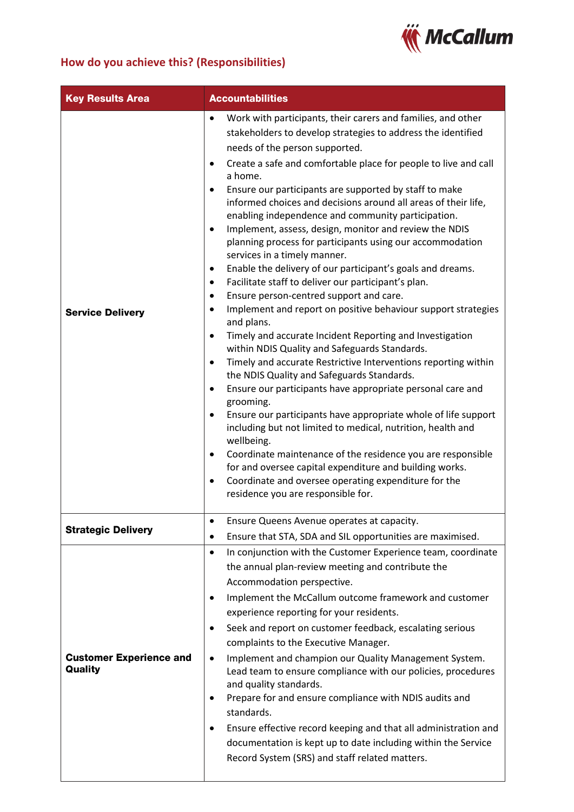

# **How do you achieve this? (Responsibilities)**

| <b>Key Results Area</b>                   | <b>Accountabilities</b>                                                                                                                                                                                                                                                                                                                                                                                                                                                                                                                                                                                                                                                                                                                                                                                                                                                                                                                                                                                                                                                                                                                                                                                                                                                                                                                                                                                                                                                                                                                                                                                                                                      |  |
|-------------------------------------------|--------------------------------------------------------------------------------------------------------------------------------------------------------------------------------------------------------------------------------------------------------------------------------------------------------------------------------------------------------------------------------------------------------------------------------------------------------------------------------------------------------------------------------------------------------------------------------------------------------------------------------------------------------------------------------------------------------------------------------------------------------------------------------------------------------------------------------------------------------------------------------------------------------------------------------------------------------------------------------------------------------------------------------------------------------------------------------------------------------------------------------------------------------------------------------------------------------------------------------------------------------------------------------------------------------------------------------------------------------------------------------------------------------------------------------------------------------------------------------------------------------------------------------------------------------------------------------------------------------------------------------------------------------------|--|
| <b>Service Delivery</b>                   | Work with participants, their carers and families, and other<br>$\bullet$<br>stakeholders to develop strategies to address the identified<br>needs of the person supported.<br>Create a safe and comfortable place for people to live and call<br>٠<br>a home.<br>Ensure our participants are supported by staff to make<br>$\bullet$<br>informed choices and decisions around all areas of their life,<br>enabling independence and community participation.<br>Implement, assess, design, monitor and review the NDIS<br>$\bullet$<br>planning process for participants using our accommodation<br>services in a timely manner.<br>Enable the delivery of our participant's goals and dreams.<br>٠<br>Facilitate staff to deliver our participant's plan.<br>٠<br>Ensure person-centred support and care.<br>$\bullet$<br>Implement and report on positive behaviour support strategies<br>$\bullet$<br>and plans.<br>Timely and accurate Incident Reporting and Investigation<br>$\bullet$<br>within NDIS Quality and Safeguards Standards.<br>Timely and accurate Restrictive Interventions reporting within<br>$\bullet$<br>the NDIS Quality and Safeguards Standards.<br>Ensure our participants have appropriate personal care and<br>$\bullet$<br>grooming.<br>Ensure our participants have appropriate whole of life support<br>including but not limited to medical, nutrition, health and<br>wellbeing.<br>Coordinate maintenance of the residence you are responsible<br>٠<br>for and oversee capital expenditure and building works.<br>Coordinate and oversee operating expenditure for the<br>$\bullet$<br>residence you are responsible for. |  |
| <b>Strategic Delivery</b>                 | Ensure Queens Avenue operates at capacity.<br>Ensure that STA, SDA and SIL opportunities are maximised.<br>٠                                                                                                                                                                                                                                                                                                                                                                                                                                                                                                                                                                                                                                                                                                                                                                                                                                                                                                                                                                                                                                                                                                                                                                                                                                                                                                                                                                                                                                                                                                                                                 |  |
| <b>Customer Experience and</b><br>Quality | In conjunction with the Customer Experience team, coordinate<br>$\bullet$<br>the annual plan-review meeting and contribute the<br>Accommodation perspective.<br>Implement the McCallum outcome framework and customer<br>٠<br>experience reporting for your residents.<br>Seek and report on customer feedback, escalating serious<br>$\bullet$<br>complaints to the Executive Manager.<br>Implement and champion our Quality Management System.<br>$\bullet$<br>Lead team to ensure compliance with our policies, procedures<br>and quality standards.<br>Prepare for and ensure compliance with NDIS audits and<br>standards.<br>Ensure effective record keeping and that all administration and<br>documentation is kept up to date including within the Service<br>Record System (SRS) and staff related matters.                                                                                                                                                                                                                                                                                                                                                                                                                                                                                                                                                                                                                                                                                                                                                                                                                                        |  |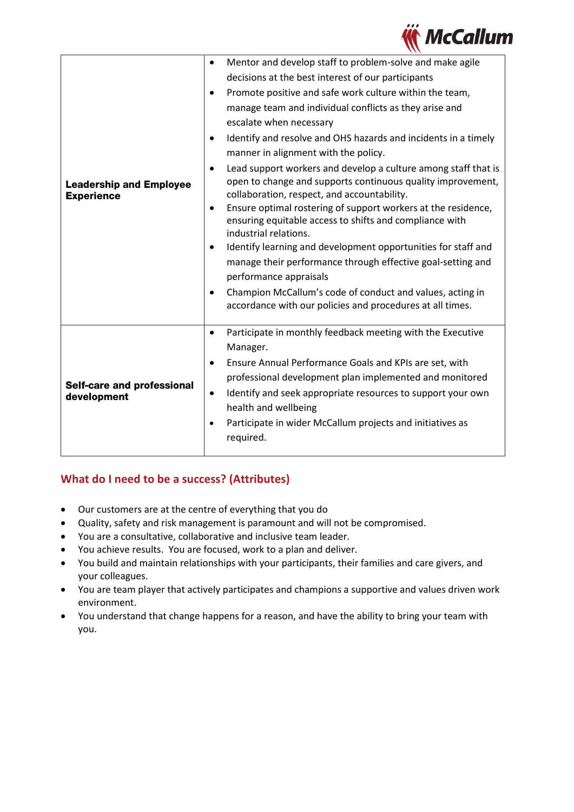

| <b>Leadership and Employee</b><br><b>Experience</b> | Mentor and develop staff to problem-solve and make agile<br>$\bullet$<br>decisions at the best interest of our participants<br>Promote positive and safe work culture within the team,<br>$\bullet$<br>manage team and individual conflicts as they arise and<br>escalate when necessary<br>Identify and resolve and OHS hazards and incidents in a timely<br>$\bullet$<br>manner in alignment with the policy.<br>Lead support workers and develop a culture among staff that is<br>$\bullet$<br>open to change and supports continuous quality improvement,<br>collaboration, respect, and accountability.<br>Ensure optimal rostering of support workers at the residence,<br>$\bullet$<br>ensuring equitable access to shifts and compliance with<br>industrial relations.<br>Identify learning and development opportunities for staff and<br>$\bullet$<br>manage their performance through effective goal-setting and<br>performance appraisals<br>Champion McCallum's code of conduct and values, acting in<br>$\bullet$<br>accordance with our policies and procedures at all times. |
|-----------------------------------------------------|----------------------------------------------------------------------------------------------------------------------------------------------------------------------------------------------------------------------------------------------------------------------------------------------------------------------------------------------------------------------------------------------------------------------------------------------------------------------------------------------------------------------------------------------------------------------------------------------------------------------------------------------------------------------------------------------------------------------------------------------------------------------------------------------------------------------------------------------------------------------------------------------------------------------------------------------------------------------------------------------------------------------------------------------------------------------------------------------|
| <b>Self-care and professional</b><br>development    | Participate in monthly feedback meeting with the Executive<br>$\bullet$<br>Manager.<br>Ensure Annual Performance Goals and KPIs are set, with<br>$\bullet$<br>professional development plan implemented and monitored<br>Identify and seek appropriate resources to support your own<br>$\bullet$<br>health and wellbeing<br>Participate in wider McCallum projects and initiatives as<br>$\bullet$<br>required.                                                                                                                                                                                                                                                                                                                                                                                                                                                                                                                                                                                                                                                                             |

## **What do I need to be a success? (Attributes)**

- Our customers are at the centre of everything that you do
- Quality, safety and risk management is paramount and will not be compromised.
- You are a consultative, collaborative and inclusive team leader.
- You achieve results. You are focused, work to a plan and deliver.
- You build and maintain relationships with your participants, their families and care givers, and your colleagues.
- You are team player that actively participates and champions a supportive and values driven work environment.
- You understand that change happens for a reason, and have the ability to bring your team with you.